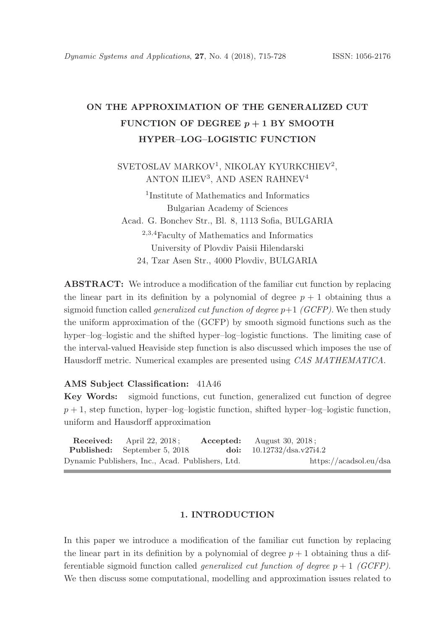# ON THE APPROXIMATION OF THE GENERALIZED CUT FUNCTION OF DEGREE  $p + 1$  BY SMOOTH HYPER–LOG–LOGISTIC FUNCTION

SVETOSLAV MARKOV<sup>1</sup>, NIKOLAY KYURKCHIEV<sup>2</sup>, ANTON ILIEV<sup>3</sup>, AND ASEN RAHNEV<sup>4</sup>

1 Institute of Mathematics and Informatics Bulgarian Academy of Sciences Acad. G. Bonchev Str., Bl. 8, 1113 Sofia, BULGARIA <sup>2</sup>,3,<sup>4</sup>Faculty of Mathematics and Informatics University of Plovdiv Paisii Hilendarski 24, Tzar Asen Str., 4000 Plovdiv, BULGARIA

ABSTRACT: We introduce a modification of the familiar cut function by replacing the linear part in its definition by a polynomial of degree  $p + 1$  obtaining thus a sigmoid function called *generalized cut function of degree*  $p+1$  *(GCFP)*. We then study the uniform approximation of the (GCFP) by smooth sigmoid functions such as the hyper–log–logistic and the shifted hyper–log–logistic functions. The limiting case of the interval-valued Heaviside step function is also discussed which imposes the use of Hausdorff metric. Numerical examples are presented using CAS MATHEMATICA.

#### AMS Subject Classification: 41A46

Key Words: sigmoid functions, cut function, generalized cut function of degree  $p + 1$ , step function, hyper–log–logistic function, shifted hyper–log–logistic function, uniform and Hausdorff approximation

|                                                  | <b>Received:</b> April 22, 2018:    |  | $\textbf{Accepted:}$ August 30, 2018; |                        |
|--------------------------------------------------|-------------------------------------|--|---------------------------------------|------------------------|
|                                                  | <b>Published:</b> September 5, 2018 |  | doi: $10.12732/dsa.v27i4.2$           |                        |
| Dynamic Publishers, Inc., Acad. Publishers, Ltd. |                                     |  |                                       | https://acadsol.eu/dsa |

## 1. INTRODUCTION

In this paper we introduce a modification of the familiar cut function by replacing the linear part in its definition by a polynomial of degree  $p + 1$  obtaining thus a differentiable sigmoid function called *generalized cut function of degree*  $p + 1$  (GCFP). We then discuss some computational, modelling and approximation issues related to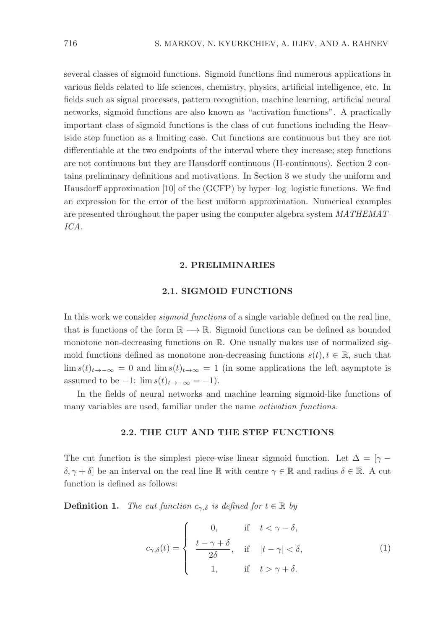several classes of sigmoid functions. Sigmoid functions find numerous applications in various fields related to life sciences, chemistry, physics, artificial intelligence, etc. In fields such as signal processes, pattern recognition, machine learning, artificial neural networks, sigmoid functions are also known as "activation functions". A practically important class of sigmoid functions is the class of cut functions including the Heaviside step function as a limiting case. Cut functions are continuous but they are not differentiable at the two endpoints of the interval where they increase; step functions are not continuous but they are Hausdorff continuous (H-continuous). Section 2 contains preliminary definitions and motivations. In Section 3 we study the uniform and Hausdorff approximation [10] of the (GCFP) by hyper–log–logistic functions. We find an expression for the error of the best uniform approximation. Numerical examples are presented throughout the paper using the computer algebra system MATHEMAT-ICA.

## 2. PRELIMINARIES

#### 2.1. SIGMOID FUNCTIONS

In this work we consider sigmoid functions of a single variable defined on the real line, that is functions of the form  $\mathbb{R} \longrightarrow \mathbb{R}$ . Sigmoid functions can be defined as bounded monotone non-decreasing functions on  $\mathbb{R}$ . One usually makes use of normalized sigmoid functions defined as monotone non-decreasing functions  $s(t), t \in \mathbb{R}$ , such that lim s(t)<sub>t→−∞</sub> = 0 and lim s(t)<sub>t→∞</sub> = 1 (in some applications the left asymptote is assumed to be  $-1$ :  $\lim s(t)_{t\to-\infty} = -1$ .

In the fields of neural networks and machine learning sigmoid-like functions of many variables are used, familiar under the name *activation functions*.

## 2.2. THE CUT AND THE STEP FUNCTIONS

The cut function is the simplest piece-wise linear sigmoid function. Let  $\Delta = \gamma \delta, \gamma + \delta$  be an interval on the real line R with centre  $\gamma \in \mathbb{R}$  and radius  $\delta \in \mathbb{R}$ . A cut function is defined as follows:

**Definition 1.** The cut function  $c_{\gamma,\delta}$  is defined for  $t \in \mathbb{R}$  by

$$
c_{\gamma,\delta}(t) = \begin{cases} 0, & \text{if } t < \gamma - \delta, \\ \frac{t - \gamma + \delta}{2\delta}, & \text{if } |t - \gamma| < \delta, \\ 1, & \text{if } t > \gamma + \delta. \end{cases} \tag{1}
$$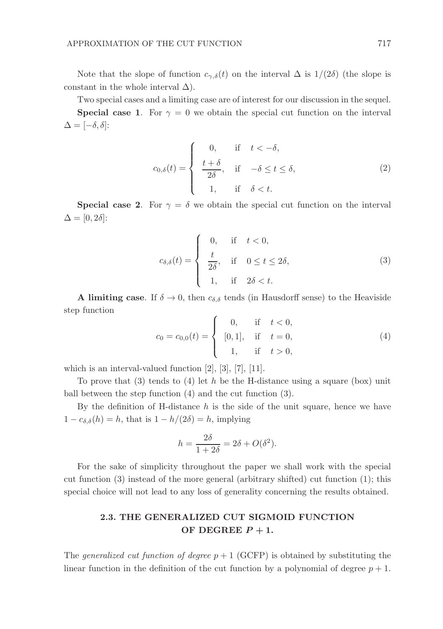Note that the slope of function  $c_{\gamma,\delta}(t)$  on the interval  $\Delta$  is  $1/(2\delta)$  (the slope is constant in the whole interval  $\Delta$ ).

Two special cases and a limiting case are of interest for our discussion in the sequel. **Special case 1.** For  $\gamma = 0$  we obtain the special cut function on the interval  $\Delta = [-\delta, \delta]$ :

$$
c_{0,\delta}(t) = \begin{cases} 0, & \text{if } t < -\delta, \\ \frac{t+\delta}{2\delta}, & \text{if } -\delta \le t \le \delta, \\ 1, & \text{if } \delta < t. \end{cases} \tag{2}
$$

**Special case 2.** For  $\gamma = \delta$  we obtain the special cut function on the interval  $\Delta = [0, 2\delta]$ :

$$
c_{\delta,\delta}(t) = \begin{cases} 0, & \text{if } t < 0, \\ \frac{t}{2\delta}, & \text{if } 0 \le t \le 2\delta, \\ 1, & \text{if } 2\delta < t. \end{cases} \tag{3}
$$

**A** limiting case. If  $\delta \to 0$ , then  $c_{\delta,\delta}$  tends (in Hausdorff sense) to the Heaviside step function

$$
c_0 = c_{0,0}(t) = \begin{cases} 0, & \text{if } t < 0, \\ [0,1], & \text{if } t = 0, \\ 1, & \text{if } t > 0, \end{cases}
$$
 (4)

which is an interval-valued function [2], [3], [7], [11].

To prove that  $(3)$  tends to  $(4)$  let h be the H-distance using a square (box) unit ball between the step function (4) and the cut function (3).

By the definition of H-distance  $h$  is the side of the unit square, hence we have  $1 - c_{\delta,\delta}(h) = h$ , that is  $1 - h/(2\delta) = h$ , implying

$$
h = \frac{2\delta}{1 + 2\delta} = 2\delta + O(\delta^2).
$$

For the sake of simplicity throughout the paper we shall work with the special cut function (3) instead of the more general (arbitrary shifted) cut function (1); this special choice will not lead to any loss of generality concerning the results obtained.

# 2.3. THE GENERALIZED CUT SIGMOID FUNCTION OF DEGREE  $P+1$ .

The *generalized cut function of degree*  $p + 1$  (GCFP) is obtained by substituting the linear function in the definition of the cut function by a polynomial of degree  $p + 1$ .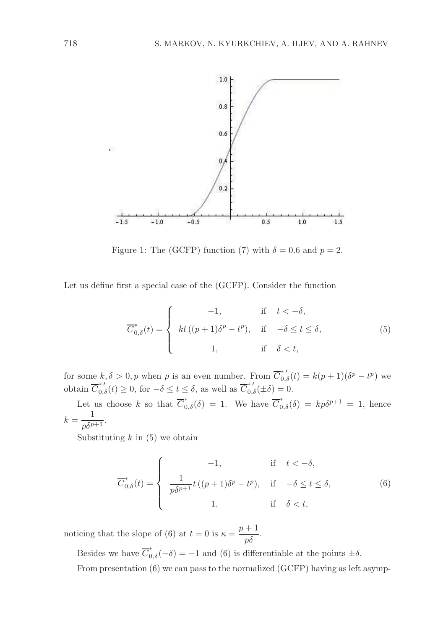

Figure 1: The (GCFP) function (7) with  $\delta = 0.6$  and  $p = 2$ .

Let us define first a special case of the (GCFP). Consider the function

$$
\overline{C}_{0,\delta}^*(t) = \begin{cases}\n-1, & \text{if } t < -\delta, \\
kt((p+1)\delta^p - t^p), & \text{if } -\delta \le t \le \delta, \\
1, & \text{if } \delta < t,\n\end{cases}\n\tag{5}
$$

for some  $k, \delta > 0, p$  when p is an even number. From  $\overline{C}_{0,\delta}^{*'}(t) = k(p+1)(\delta^p - t^p)$  we obtain  $\overline{C}_{0,\delta}^{*'}(t) \geq 0$ , for  $-\delta \leq t \leq \delta$ , as well as  $\overline{C}_{0,\delta}^{*'}(\pm \delta) = 0$ .

Let us choose k so that  $\overline{C}_{0,\delta}^*(\delta) = 1$ . We have  $\overline{C}_{0,\delta}^*(\delta) = kp\delta^{p+1} = 1$ , hence  $k = \frac{1}{p\delta^{p+1}}.$ 

Substituting  $k$  in (5) we obtain

$$
\overline{C}_{0,\delta}^*(t) = \begin{cases}\n-1, & \text{if } t < -\delta, \\
\frac{1}{p\delta^{p+1}}t\left((p+1)\delta^p - t^p\right), & \text{if } -\delta \le t \le \delta, \\
1, & \text{if } \delta < t,\n\end{cases}\n\tag{6}
$$

noticing that the slope of (6) at  $t = 0$  is  $\kappa = \frac{p+1}{p\delta}$ .

Besides we have  $\overline{C}_{0,\delta}^*(-\delta) = -1$  and (6) is differentiable at the points  $\pm \delta$ .

From presentation (6) we can pass to the normalized (GCFP) having as left asymp-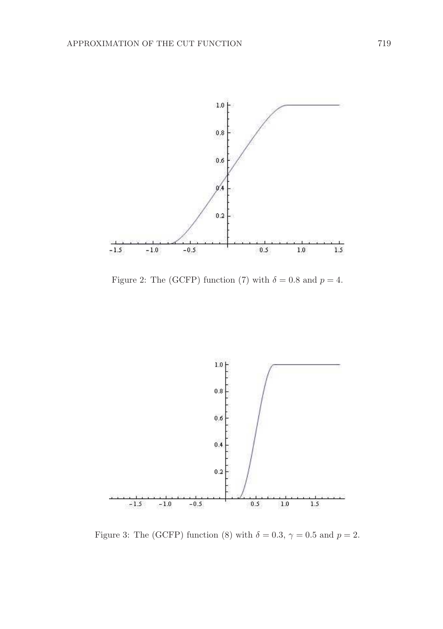

Figure 2: The (GCFP) function (7) with  $\delta = 0.8$  and  $p = 4$ .



Figure 3: The (GCFP) function (8) with  $\delta = 0.3$ ,  $\gamma = 0.5$  and  $p = 2$ .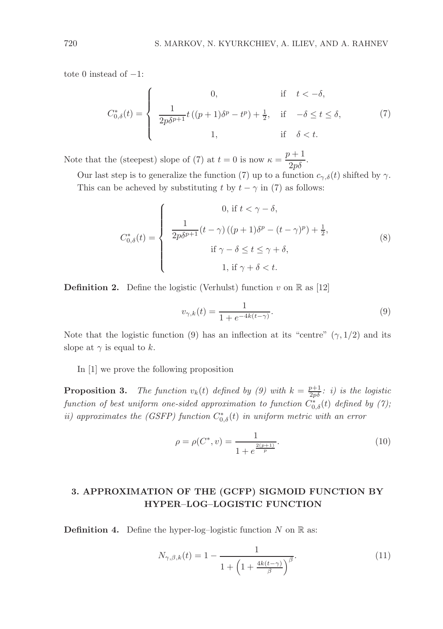tote 0 instead of  $-1$ :

$$
C_{0,\delta}^*(t) = \begin{cases} 0, & \text{if } t < -\delta, \\ \frac{1}{2p\delta^{p+1}}t\left((p+1)\delta^p - t^p\right) + \frac{1}{2}, & \text{if } -\delta \le t \le \delta, \\ 1, & \text{if } \delta < t. \end{cases} \tag{7}
$$

Note that the (steepest) slope of (7) at  $t = 0$  is now  $\kappa = \frac{p+1}{2p\delta}$ .

Our last step is to generalize the function (7) up to a function  $c_{\gamma,\delta}(t)$  shifted by  $\gamma$ . This can be acheved by substituting t by  $t - \gamma$  in (7) as follows:

$$
C_{0,\delta}^*(t) = \begin{cases} 0, \text{ if } t < \gamma - \delta, \\ \frac{1}{2p\delta^{p+1}}(t - \gamma)((p+1)\delta^p - (t - \gamma)^p) + \frac{1}{2}, \\ \text{if } \gamma - \delta \le t \le \gamma + \delta, \\ 1, \text{ if } \gamma + \delta < t. \end{cases}
$$
(8)

**Definition 2.** Define the logistic (Verhulst) function v on  $\mathbb{R}$  as [12]

$$
v_{\gamma,k}(t) = \frac{1}{1 + e^{-4k(t-\gamma)}}.
$$
\n(9)

Note that the logistic function (9) has an inflection at its "centre"  $(\gamma, 1/2)$  and its slope at  $\gamma$  is equal to k.

In [1] we prove the following proposition

**Proposition 3.** The function  $v_k(t)$  defined by (9) with  $k = \frac{p+1}{2p\delta}$ : i) is the logistic function of best uniform one-sided approximation to function  $C_{0,\delta}^{*}(t)$  defined by (7); ii) approximates the (GSFP) function  $C_{0,\delta}^*(t)$  in uniform metric with an error

$$
\rho = \rho(C^*, v) = \frac{1}{1 + e^{\frac{2(p+1)}{p}}}.
$$
\n(10)

# 3. APPROXIMATION OF THE (GCFP) SIGMOID FUNCTION BY HYPER–LOG–LOGISTIC FUNCTION

**Definition 4.** Define the hyper-log-logistic function  $N$  on  $\mathbb{R}$  as:

$$
N_{\gamma,\beta,k}(t) = 1 - \frac{1}{1 + \left(1 + \frac{4k(t-\gamma)}{\beta}\right)^{\beta}}.\tag{11}
$$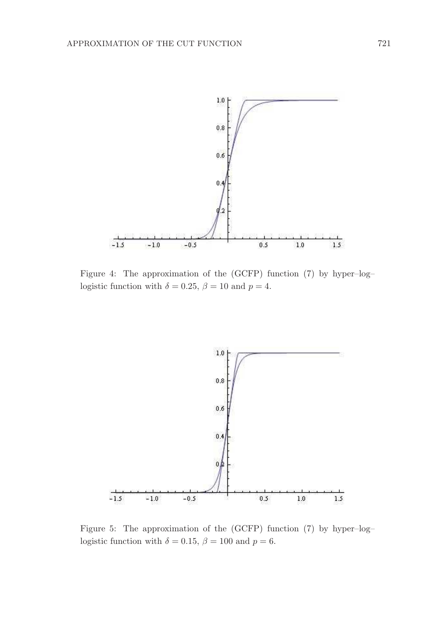

Figure 4: The approximation of the (GCFP) function (7) by hyper–log– logistic function with  $\delta = 0.25$ ,  $\beta = 10$  and  $p = 4$ .



Figure 5: The approximation of the (GCFP) function (7) by hyper–log– logistic function with  $\delta = 0.15$ ,  $\beta = 100$  and  $p = 6$ .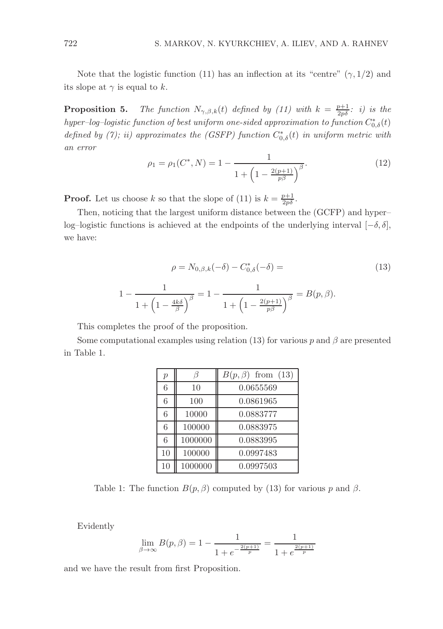Note that the logistic function (11) has an inflection at its "centre"  $(\gamma, 1/2)$  and its slope at  $\gamma$  is equal to k.

**Proposition 5.** The function  $N_{\gamma,\beta,k}(t)$  defined by (11) with  $k = \frac{p+1}{2p\delta}$ : i) is the  $hyper-log–logistic\ function\ of\ best\ uniform\ one-sided\ approximation\ to\ function\ C_{0,\delta}^*(t)$ defined by (7); ii) approximates the (GSFP) function  $C_{0,\delta}^*(t)$  in uniform metric with an error

$$
\rho_1 = \rho_1(C^*, N) = 1 - \frac{1}{1 + \left(1 - \frac{2(p+1)}{p\beta}\right)^{\beta}}.
$$
\n(12)

**Proof.** Let us choose k so that the slope of (11) is  $k = \frac{p+1}{2p\delta}$ .

Then, noticing that the largest uniform distance between the (GCFP) and hyper– log–logistic functions is achieved at the endpoints of the underlying interval  $[-\delta, \delta]$ , we have:

$$
\rho = N_{0,\beta,k}(-\delta) - C_{0,\delta}^*(-\delta) = \tag{13}
$$

$$
1 - \frac{1}{1 + \left(1 - \frac{4k\delta}{\beta}\right)^{\beta}} = 1 - \frac{1}{1 + \left(1 - \frac{2(p+1)}{p\beta}\right)^{\beta}} = B(p, \beta).
$$

This completes the proof of the proposition.

Some computational examples using relation (13) for various p and  $\beta$  are presented in Table 1.

| $\boldsymbol{p}$ | h       | $B(p, \beta)$ from (13) |
|------------------|---------|-------------------------|
| 6                | 10      | 0.0655569               |
| 6                | 100     | 0.0861965               |
| 6                | 10000   | 0.0883777               |
| 6                | 100000  | 0.0883975               |
| 6                | 1000000 | 0.0883995               |
| 10               | 100000  | 0.0997483               |
| 10               | 1000000 | 0.0997503               |

Table 1: The function  $B(p, \beta)$  computed by (13) for various p and  $\beta$ .

Evidently

$$
\lim_{\beta \to \infty} B(p,\beta) = 1 - \frac{1}{1 + e^{-\frac{2(p+1)}{p}}} = \frac{1}{1 + e^{\frac{2(p+1)}{p}}}
$$

and we have the result from first Proposition.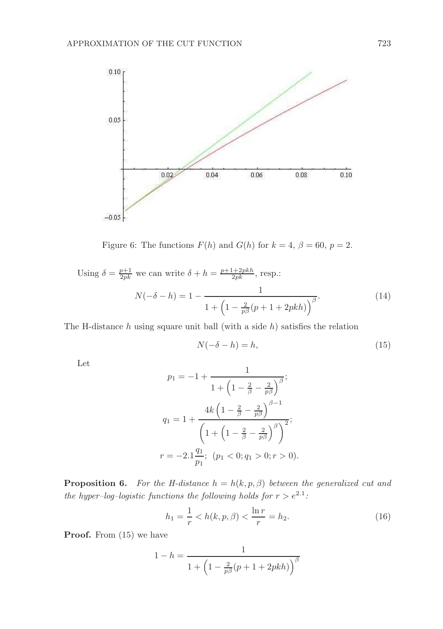

Figure 6: The functions  $F(h)$  and  $G(h)$  for  $k = 4$ ,  $\beta = 60$ ,  $p = 2$ .

Using 
$$
\delta = \frac{p+1}{2pk}
$$
 we can write  $\delta + h = \frac{p+1+2pkh}{2pk}$ , resp.:  
\n
$$
N(-\delta - h) = 1 - \frac{1}{1 + \left(1 - \frac{2}{p\beta}(p+1+2pkh)\right)^{\beta}}.
$$
\n(14)

The H-distance  $h$  using square unit ball (with a side  $h$ ) satisfies the relation

$$
N(-\delta - h) = h,\t\t(15)
$$

Let

$$
p_1 = -1 + \frac{1}{1 + \left(1 - \frac{2}{\beta} - \frac{2}{p\beta}\right)^{\beta}};
$$
  
\n
$$
q_1 = 1 + \frac{4k\left(1 - \frac{2}{\beta} - \frac{2}{p\beta}\right)^{\beta - 1}}{\left(1 + \left(1 - \frac{2}{\beta} - \frac{2}{p\beta}\right)^{\beta}\right)^2};
$$
  
\n
$$
r = -2.1\frac{q_1}{p_1}; \quad (p_1 < 0; q_1 > 0; r > 0).
$$

**Proposition 6.** For the H-distance  $h = h(k, p, \beta)$  between the generalized cut and the hyper-log-logistic functions the following holds for  $r > e^{2.1}$ :

$$
h_1 = \frac{1}{r} < h(k, p, \beta) < \frac{\ln r}{r} = h_2. \tag{16}
$$

Proof. From  $(15)$  we have

$$
1 - h = \frac{1}{1 + \left(1 - \frac{2}{p\beta}(p + 1 + 2pkh)\right)^{\beta}}
$$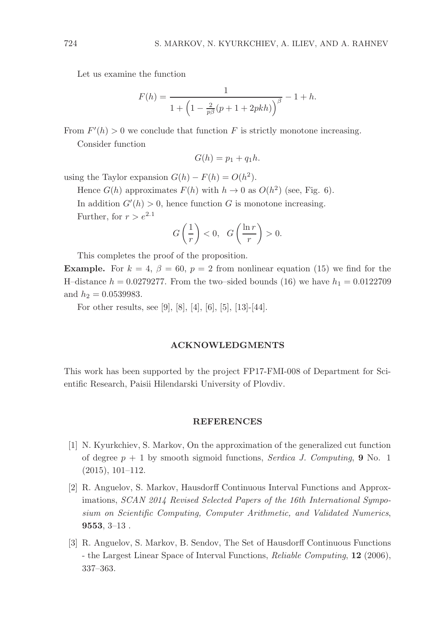Let us examine the function

$$
F(h) = \frac{1}{1 + \left(1 - \frac{2}{p\beta}(p + 1 + 2pkh)\right)^{\beta}} - 1 + h.
$$

From  $F'(h) > 0$  we conclude that function F is strictly monotone increasing. Consider function

$$
G(h) = p_1 + q_1 h.
$$

using the Taylor expansion  $G(h) - F(h) = O(h^2)$ .

Hence  $G(h)$  approximates  $F(h)$  with  $h \to 0$  as  $O(h^2)$  (see, Fig. 6).

In addition  $G'(h) > 0$ , hence function G is monotone increasing.

Further, for  $r > e^{2.1}$ 

$$
G\left(\frac{1}{r}\right) < 0, \quad G\left(\frac{\ln r}{r}\right) > 0.
$$

This completes the proof of the proposition.

**Example.** For  $k = 4$ ,  $\beta = 60$ ,  $p = 2$  from nonlinear equation (15) we find for the H–distance  $h = 0.0279277$ . From the two–sided bounds (16) we have  $h_1 = 0.0122709$ and  $h_2 = 0.0539983$ .

For other results, see [9], [8], [4], [6], [5], [13]-[44].

#### ACKNOWLEDGMENTS

This work has been supported by the project FP17-FMI-008 of Department for Scientific Research, Paisii Hilendarski University of Plovdiv.

#### REFERENCES

- [1] N. Kyurkchiev, S. Markov, On the approximation of the generalized cut function of degree  $p + 1$  by smooth sigmoid functions, Serdica J. Computing, 9 No. 1 (2015), 101–112.
- [2] R. Anguelov, S. Markov, Hausdorff Continuous Interval Functions and Approximations, SCAN 2014 Revised Selected Papers of the 16th International Symposium on Scientific Computing, Computer Arithmetic, and Validated Numerics,  $9553, 3-13$ .
- [3] R. Anguelov, S. Markov, B. Sendov, The Set of Hausdorff Continuous Functions - the Largest Linear Space of Interval Functions, Reliable Computing, 12 (2006), 337–363.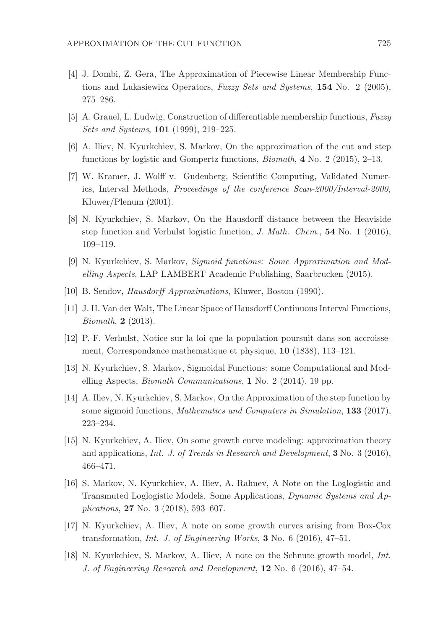- [4] J. Dombi, Z. Gera, The Approximation of Piecewise Linear Membership Functions and Lukasiewicz Operators, Fuzzy Sets and Systems, 154 No. 2 (2005), 275–286.
- [5] A. Grauel, L. Ludwig, Construction of differentiable membership functions, Fuzzy Sets and Systems, 101 (1999), 219–225.
- [6] A. Iliev, N. Kyurkchiev, S. Markov, On the approximation of the cut and step functions by logistic and Gompertz functions, Biomath, 4 No. 2 (2015), 2–13.
- [7] W. Kramer, J. Wolff v. Gudenberg, Scientific Computing, Validated Numerics, Interval Methods, Proceedings of the conference Scan-2000/Interval-2000, Kluwer/Plenum (2001).
- [8] N. Kyurkchiev, S. Markov, On the Hausdorff distance between the Heaviside step function and Verhulst logistic function, J. Math. Chem., 54 No. 1 (2016), 109–119.
- [9] N. Kyurkchiev, S. Markov, Sigmoid functions: Some Approximation and Modelling Aspects, LAP LAMBERT Academic Publishing, Saarbrucken (2015).
- [10] B. Sendov, Hausdorff Approximations, Kluwer, Boston (1990).
- [11] J. H. Van der Walt, The Linear Space of Hausdorff Continuous Interval Functions, Biomath, 2 (2013).
- [12] P.-F. Verhulst, Notice sur la loi que la population poursuit dans son accroissement, Correspondance mathematique et physique, 10 (1838), 113–121.
- [13] N. Kyurkchiev, S. Markov, Sigmoidal Functions: some Computational and Modelling Aspects, Biomath Communications, 1 No. 2 (2014), 19 pp.
- [14] A. Iliev, N. Kyurkchiev, S. Markov, On the Approximation of the step function by some sigmoid functions, *Mathematics and Computers in Simulation*, **133** (2017), 223–234.
- [15] N. Kyurkchiev, A. Iliev, On some growth curve modeling: approximation theory and applications, *Int. J. of Trends in Research and Development*, **3** No. 3 (2016), 466–471.
- [16] S. Markov, N. Kyurkchiev, A. Iliev, A. Rahnev, A Note on the Loglogistic and Transmuted Loglogistic Models. Some Applications, Dynamic Systems and Applications, 27 No. 3 (2018), 593–607.
- [17] N. Kyurkchiev, A. Iliev, A note on some growth curves arising from Box-Cox transformation, Int. J. of Engineering Works, 3 No. 6 (2016), 47–51.
- [18] N. Kyurkchiev, S. Markov, A. Iliev, A note on the Schnute growth model, Int. J. of Engineering Research and Development, 12 No. 6 (2016), 47–54.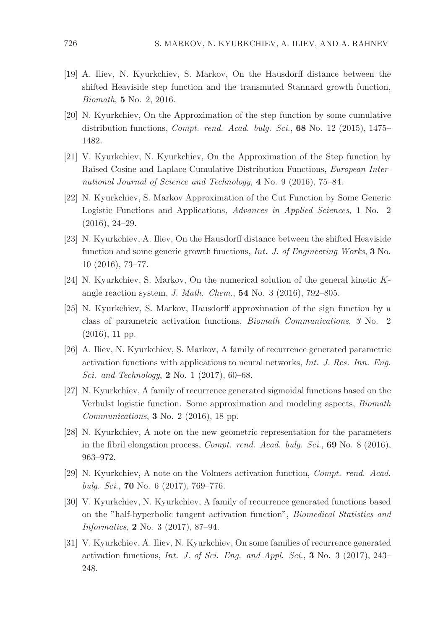- [19] A. Iliev, N. Kyurkchiev, S. Markov, On the Hausdorff distance between the shifted Heaviside step function and the transmuted Stannard growth function, Biomath, 5 No. 2, 2016.
- [20] N. Kyurkchiev, On the Approximation of the step function by some cumulative distribution functions, *Compt. rend. Acad. bulg. Sci.*, **68** No. 12 (2015), 1475– 1482.
- [21] V. Kyurkchiev, N. Kyurkchiev, On the Approximation of the Step function by Raised Cosine and Laplace Cumulative Distribution Functions, European International Journal of Science and Technology, 4 No. 9 (2016), 75–84.
- [22] N. Kyurkchiev, S. Markov Approximation of the Cut Function by Some Generic Logistic Functions and Applications, Advances in Applied Sciences, 1 No. 2 (2016), 24–29.
- [23] N. Kyurkchiev, A. Iliev, On the Hausdorff distance between the shifted Heaviside function and some generic growth functions, Int. J. of Engineering Works, 3 No. 10 (2016), 73–77.
- [24] N. Kyurkchiev, S. Markov, On the numerical solution of the general kinetic Kangle reaction system, J. Math. Chem., 54 No. 3 (2016), 792–805.
- [25] N. Kyurkchiev, S. Markov, Hausdorff approximation of the sign function by a class of parametric activation functions, Biomath Communications, 3 No. 2 (2016), 11 pp.
- [26] A. Iliev, N. Kyurkchiev, S. Markov, A family of recurrence generated parametric activation functions with applications to neural networks, Int. J. Res. Inn. Eng. Sci. and Technology, **2** No. 1 (2017), 60–68.
- [27] N. Kyurkchiev, A family of recurrence generated sigmoidal functions based on the Verhulst logistic function. Some approximation and modeling aspects, Biomath Communications, 3 No. 2 (2016), 18 pp.
- [28] N. Kyurkchiev, A note on the new geometric representation for the parameters in the fibril elongation process, Compt. rend. Acad. bulg. Sci., 69 No. 8 (2016), 963–972.
- [29] N. Kyurkchiev, A note on the Volmers activation function, Compt. rend. Acad. bulg. Sci., **70** No. 6  $(2017)$ , 769–776.
- [30] V. Kyurkchiev, N. Kyurkchiev, A family of recurrence generated functions based on the "half-hyperbolic tangent activation function", Biomedical Statistics and Informatics, 2 No. 3 (2017), 87–94.
- [31] V. Kyurkchiev, A. Iliev, N. Kyurkchiev, On some families of recurrence generated activation functions, Int. J. of Sci. Eng. and Appl. Sci., 3 No. 3 (2017), 243– 248.